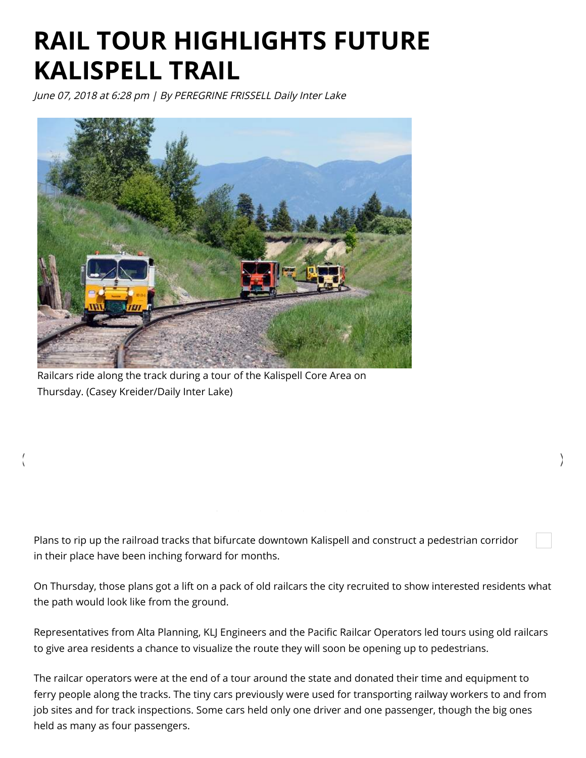## RAIL TOUR HIGHLIGHTS FUTURE KALISPELL TRAIL

June 07, 2018 at 6:28 pm | By PEREGRINE FRISSELL Daily Inter Lake



Railcars ride along the track during a tour of the Kalispell Core Area on Thursday. (Casey Kreider/Daily Inter Lake)

Plans to rip up the railroad tracks that bifurcate downtown Kalispell and construct a pedestrian corridor in their place have been inching forward for months.

On Thursday, those plans got a lift on a pack of old railcars the city recruited to show interested residents what the path would look like from the ground.

 $\langle$ 

Representatives from Alta Planning, KLJ Engineers and the Pacific Railcar Operators led tours using old railcars to give area residents a chance to visualize the route they will soon be opening up to pedestrians.

The railcar operators were at the end of a tour around the state and donated their time and equipment to ferry people along the tracks. The tiny cars previously were used for transporting railway workers to and from job sites and for track inspections. Some cars held only one driver and one passenger, though the big ones held as many as four passengers.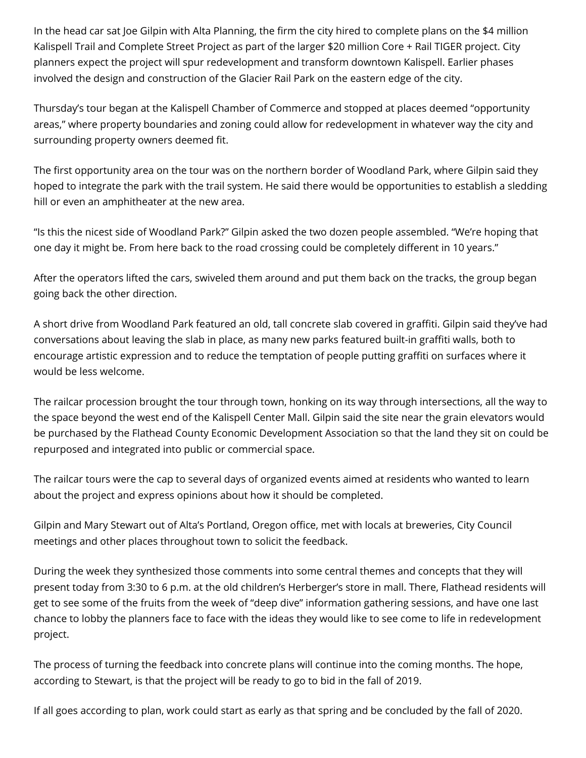In the head car sat Joe Gilpin with Alta Planning, the firm the city hired to complete plans on the \$4 million Kalispell Trail and Complete Street Project as part of the larger \$20 million Core + Rail TIGER project. City planners expect the project will spur redevelopment and transform downtown Kalispell. Earlier phases involved the design and construction of the Glacier Rail Park on the eastern edge of the city.

Thursday's tour began at the Kalispell Chamber of Commerce and stopped at places deemed "opportunity areas," where property boundaries and zoning could allow for redevelopment in whatever way the city and surrounding property owners deemed fit.

The first opportunity area on the tour was on the northern border of Woodland Park, where Gilpin said they hoped to integrate the park with the trail system. He said there would be opportunities to establish a sledding hill or even an amphitheater at the new area.

"Is this the nicest side of Woodland Park?" Gilpin asked the two dozen people assembled. "We're hoping that one day it might be. From here back to the road crossing could be completely different in 10 years."

After the operators lifted the cars, swiveled them around and put them back on the tracks, the group began going back the other direction.

A short drive from Woodland Park featured an old, tall concrete slab covered in graffiti. Gilpin said they've had conversations about leaving the slab in place, as many new parks featured built-in graffiti walls, both to encourage artistic expression and to reduce the temptation of people putting graffiti on surfaces where it would be less welcome.

The railcar procession brought the tour through town, honking on its way through intersections, all the way to the space beyond the west end of the Kalispell Center Mall. Gilpin said the site near the grain elevators would be purchased by the Flathead County Economic Development Association so that the land they sit on could be repurposed and integrated into public or commercial space.

The railcar tours were the cap to several days of organized events aimed at residents who wanted to learn about the project and express opinions about how it should be completed.

Gilpin and Mary Stewart out of Alta's Portland, Oregon office, met with locals at breweries, City Council meetings and other places throughout town to solicit the feedback.

During the week they synthesized those comments into some central themes and concepts that they will present today from 3:30 to 6 p.m. at the old children's Herberger's store in mall. There, Flathead residents will get to see some of the fruits from the week of "deep dive" information gathering sessions, and have one last chance to lobby the planners face to face with the ideas they would like to see come to life in redevelopment project.

The process of turning the feedback into concrete plans will continue into the coming months. The hope, according to Stewart, is that the project will be ready to go to bid in the fall of 2019.

If all goes according to plan, work could start as early as that spring and be concluded by the fall of 2020.